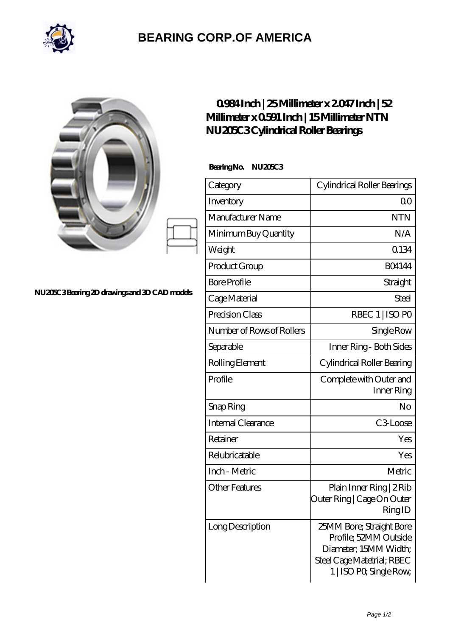

## **[BEARING CORP.OF AMERICA](https://m.bluemondayreview.com)**

|                                              | 0984Inch   25Millimeter x 2047Inch   52<br>Millimeter x 0591 Inch   15 Millimeter NTN<br>NU205C3Cylindrical Roller Bearings |                                                                            |
|----------------------------------------------|-----------------------------------------------------------------------------------------------------------------------------|----------------------------------------------------------------------------|
|                                              | BearingNo.<br>NU205C3                                                                                                       |                                                                            |
|                                              | Category                                                                                                                    | Cylindrical Roller Bearings                                                |
|                                              | Inventory                                                                                                                   | 0 <sub>0</sub>                                                             |
|                                              | Manufacturer Name                                                                                                           | <b>NTN</b>                                                                 |
|                                              | Minimum Buy Quantity                                                                                                        | N/A                                                                        |
|                                              | Weight                                                                                                                      | 0.134                                                                      |
|                                              | Product Group                                                                                                               | <b>BO4144</b>                                                              |
| NU20EC3Bearing 2D drawings and 3D CAD models | <b>Bore Profile</b>                                                                                                         | Straight                                                                   |
|                                              | Cage Material                                                                                                               | Steel                                                                      |
|                                              | Precision Class                                                                                                             | RBEC 1   ISO PO                                                            |
|                                              | Number of Rows of Rollers                                                                                                   | Single Row                                                                 |
|                                              | Separable                                                                                                                   | Inner Ring - Both Sides                                                    |
|                                              | Rolling Element                                                                                                             | Cylindrical Roller Bearing                                                 |
|                                              | Profile                                                                                                                     | Complete with Outer and<br>Inner Ring                                      |
|                                              | Snap Ring                                                                                                                   | No                                                                         |
|                                              | Internal Clearance                                                                                                          | C3Loose                                                                    |
|                                              | Retainer                                                                                                                    | Yes                                                                        |
|                                              | Relubricatable                                                                                                              | Yes                                                                        |
|                                              | Inch - Metric                                                                                                               | Metric                                                                     |
|                                              | <b>Other Features</b>                                                                                                       | Plain Inner Ring   2 Rib<br>Outer Ring   Cage On Outer<br>RingID           |
|                                              | Long Description                                                                                                            | 25MM Bore; Straight Bore<br>Profile; 52MM Outside<br>Diameter; 15MM Width; |

Steel Cage Matetrial; RBEC 1 | ISO P0; Single Row;